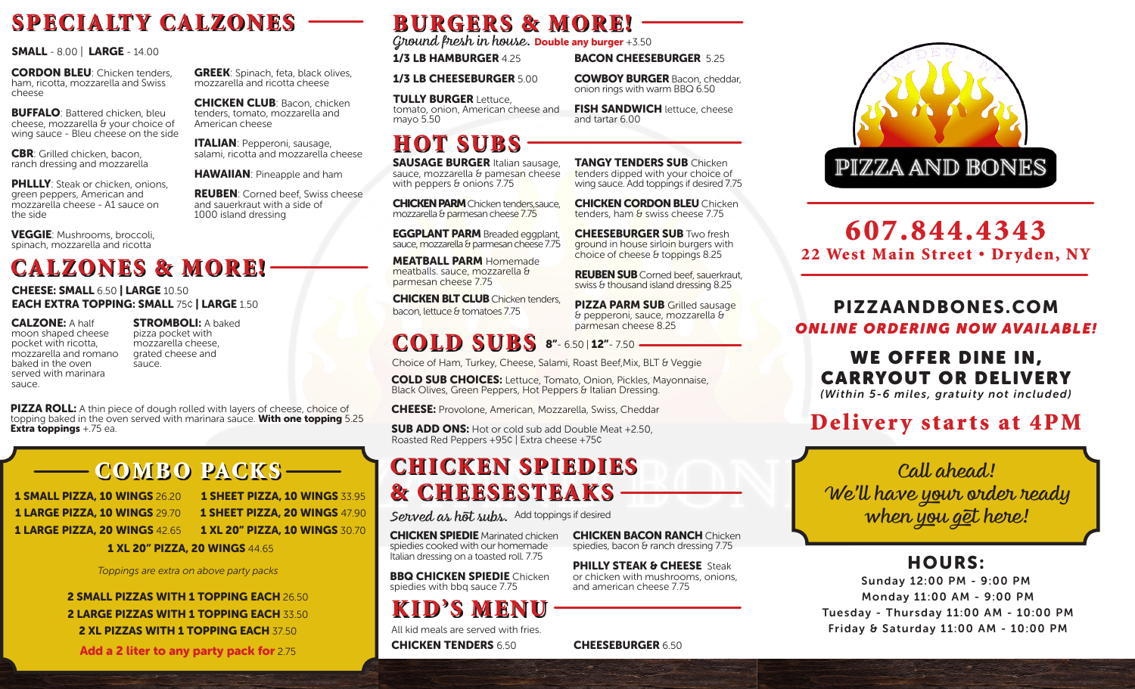# SPECIALTY CALZONES

CORDON BLEU: Chicken tenders, ham, ricotta, mozzarella and Swiss cheese

**BUFFALO: Battered chicken, bleu** cheese, mozzarella & your choice of wing sauce - Bleu cheese on the side

**CBR**: Grilled chicken, bacon, ranch dressing and mozzarella

**PHLLLY:** Steak or chicken, onions, green peppers, American and mozzarella cheese - A1 sauce on the side

VEGGIE: Mushrooms, broccoli, spinach, mozzarella and ricotta

# CALZONES & MORE!

sauce.

CHEESE: SMALL 6.50 | LARGE 10.50 EACH EXTRA TOPPING: SMALL 75¢ | LARGE 1.50

CALZONE: A half moon shaped cheese pocket with ricotta, mozzarella and romano baked in the oven served with marinara sauce.

**STROMBOLI: A baked** pizza pocket with mozzarella cheese, grated cheese and

**GREEK:** Spinach, feta, black olives, mozzarella and ricotta cheese

CHICKEN CLUB: Bacon, chicken tenders, tomato, mozzarella and

ITALIAN: Pepperoni, sausage, salami, ricotta and mozzarella cheese

HAWAIIAN: Pineapple and ham REUBEN: Corned beef, Swiss cheese

and sauerkraut with a side of 1000 island dressing

American cheese

**PIZZA ROLL:** A thin piece of dough rolled with layers of cheese, choice of topping baked in the oven served with marinara sauce. With one topping 5.25 Extra toppings  $+75$  ea.

## COMBO PACKS

| <b>1 SMALL PIZZA, 10 WINGS 26.20</b> | <b>1 SHEET PIZZA, 10 WINGS 33.95</b>  |  |  |  |  |  |
|--------------------------------------|---------------------------------------|--|--|--|--|--|
| <b>1 LARGE PIZZA, 10 WINGS 29.70</b> | <b>1 SHEET PIZZA, 20 WINGS 47.90</b>  |  |  |  |  |  |
| <b>1 LARGE PIZZA, 20 WINGS 42.65</b> | <b>1 XL 20" PIZZA. 10 WINGS 30.70</b> |  |  |  |  |  |
|                                      |                                       |  |  |  |  |  |

1 XL 20" PIZZA, 20 WINGS 44.65

*Toppings are extra on above party packs*

2 SMALL PIZZAS WITH 1 TOPPING EACH 26.50 2 LARGE PIZZAS WITH 1 TOPPING EACH 33.50 2 XL PIZZAS WITH 1 TOPPING EACH 37.50

Add a 2 liter to any party pack for 2.75

# BURGERS & MORE!

SMALL - 8.00 | LARGE - 14.00 *Ground fresh in house.* Double any burger +3.50

1/3 LB HAMBURGER 425

1/3 LB CHEESEBURGER 5.00

**TULLY BURGER Lettuce** tomato, onion, American cheese and mayo 5.50

## HOT SUBS

**SAUSAGE BURGER Italian sausage.** sauce, mozzarella & pamesan cheese with peppers & onions 7.75

**CHICKEN PARM** Chicken tenders, sauce, mozzarella & parmesan cheese 7.75

EGGPLANT PARM Breaded eggplant, sauce, mozzarella & parmesan cheese 7.75

MEATBALL PARM Homemade meatballs. sauce, mozzarella & parmesan cheese 7.75

**CHICKEN BLT CLUB** Chicken tenders, bacon, lettuce & tomatoes 7.75

# COLD SUBS 8"-6.50 | 12"- 7.50

Choice of Ham, Turkey, Cheese, Salami, Roast Beef,Mix, BLT & Veggie

COLD SUB CHOICES: Lettuce, Tomato, Onion, Pickles, Mayonnaise, Black Olives, Green Peppers, Hot Peppers & Italian Dressing.

CHEESE: Provolone, American, Mozzarella, Swiss, Cheddar

**SUB ADD ONS:** Hot or cold sub add Double Meat +2.50. Roasted Red Peppers +95¢ | Extra cheese +75¢

# **CHICKEN SPIEDIES** & CHEESESTEAKS

*Served as hot subs.*  Add toppings if desired

CHICKEN SPIEDIE Marinated chicken spiedies cooked with our homemade Italian dressing on a toasted roll. 7.75

**BBQ CHICKEN SPIEDIE Chicken** spiedies with bbq sauce 7.75

KID'S MENU

CHICKEN TENDERS 6.50 CHEESEBURGER 6.50 All kid meals are served with fries.

**BACON CHEESEBURGER 525** COWBOY BURGER Bacon, cheddar,

onion rings with warm BBQ 6.50

**FISH SANDWICH** lettuce, cheese and tartar 6.00

**TANGY TENDERS SUB Chicken** tenders dipped with your choice of wing sauce. Add toppings if desired 7.75

**CHICKEN CORDON BLEU** Chicken tenders, ham & swiss cheese 7.75

**CHEESEBURGER SUB Two fresh** ground in house sirloin burgers with choice of cheese & toppings 8.25

REUBEN SUB Corned beef, sauerkraut, swiss & thousand island dressing 8.25

PIZZA PARM SUB Grilled sausage & pepperoni, sauce, mozzarella & parmesan cheese 8.25



## 607.844.4343 22 West Main Street . Dryden, NY

### PIZZAANDBONES.COM *ONLINE ORDERING NOW AVAILABLE!*

### WE OFFER DINE IN, CARRYOUT OR DELIVERY

*(Within 5-6 miles, gratuity not included)*

# Delivery starts at 4PM

*Call ahead! We'll have your order ready when you get here!*

### HOURS:

Sunday 12:00 PM - 9:00 PM Monday 11:00 AM - 9:00 PM Tuesday - Thursday 11:00 AM - 10:00 PM Friday & Saturday 11:00 AM - 10:00 PM

**CHICKEN BACON RANCH Chicken** spiedies, bacon & ranch dressing 7.75

PHILLY STEAK & CHEESE Steak or chicken with mushrooms, onions, and american cheese 7.75